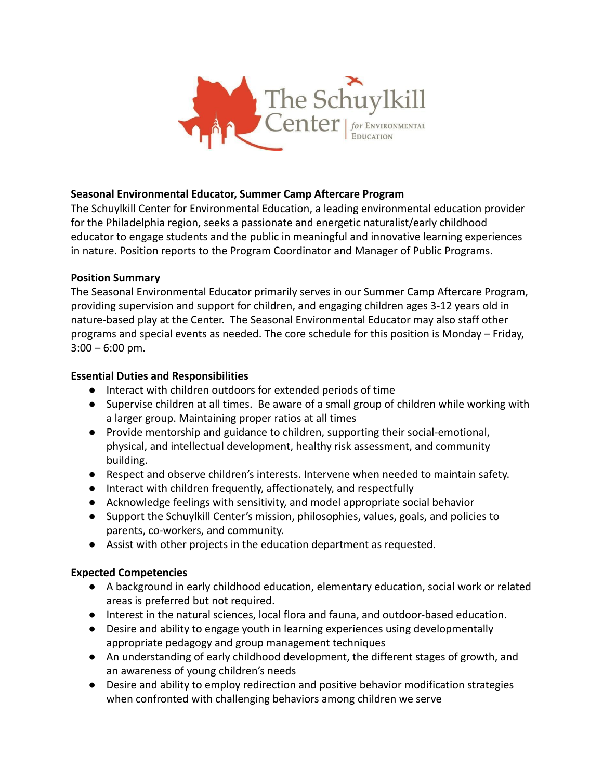

## **Seasonal Environmental Educator, Summer Camp Aftercare Program**

The Schuylkill Center for Environmental Education, a leading environmental education provider for the Philadelphia region, seeks a passionate and energetic naturalist/early childhood educator to engage students and the public in meaningful and innovative learning experiences in nature. Position reports to the Program Coordinator and Manager of Public Programs.

## **Position Summary**

The Seasonal Environmental Educator primarily serves in our Summer Camp Aftercare Program, providing supervision and support for children, and engaging children ages 3-12 years old in nature-based play at the Center. The Seasonal Environmental Educator may also staff other programs and special events as needed. The core schedule for this position is Monday – Friday,  $3:00 - 6:00$  pm.

## **Essential Duties and Responsibilities**

- Interact with children outdoors for extended periods of time
- Supervise children at all times. Be aware of a small group of children while working with a larger group. Maintaining proper ratios at all times
- Provide mentorship and guidance to children, supporting their social-emotional, physical, and intellectual development, healthy risk assessment, and community building.
- Respect and observe children's interests. Intervene when needed to maintain safety.
- Interact with children frequently, affectionately, and respectfully
- Acknowledge feelings with sensitivity, and model appropriate social behavior
- Support the Schuylkill Center's mission, philosophies, values, goals, and policies to parents, co-workers, and community.
- Assist with other projects in the education department as requested.

## **Expected Competencies**

- A background in early childhood education, elementary education, social work or related areas is preferred but not required.
- Interest in the natural sciences, local flora and fauna, and outdoor-based education.
- Desire and ability to engage youth in learning experiences using developmentally appropriate pedagogy and group management techniques
- An understanding of early childhood development, the different stages of growth, and an awareness of young children's needs
- Desire and ability to employ redirection and positive behavior modification strategies when confronted with challenging behaviors among children we serve